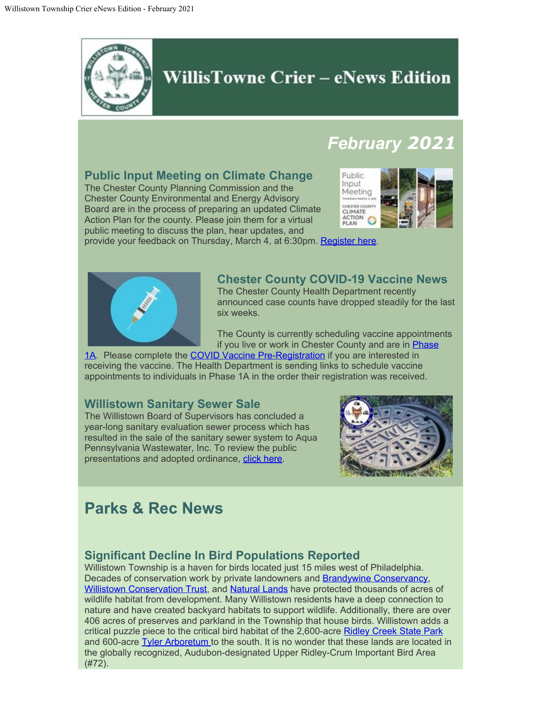

## WillisTowne Crier – eNews Edition

# *February 2021*

## **Public Input Meeting on Climate Change**

The Chester County Planning Commission and the Chester County Environmental and Energy Advisory Board are in the process of preparing an updated Climate Action Plan for the county. Please join them for a virtual public meeting to discuss the plan, hear updates, and



provide your feedback on Thursday, March 4, at 6:30pm. [Register here](https://zoom.us/webinar/register/1216122886000/WN_eudHFuFgS4G1bMpK2G2OAg).



#### **Chester County COVID-19 Vaccine News**

The Chester County Health Department recently announced case counts have dropped steadily for the last six weeks.

The County is currently scheduling vaccine appointments if you live or work in Chester County and are in **Phase** 

[1A.](https://www.chesco.org/4822/COVID19Vaccine) Please complete the [COVID Vaccine Pre-Registration](https://chesco.seamlessdocs.com/f/chescovac) if you are interested in receiving the vaccine. The Health Department is sending links to schedule vaccine appointments to individuals in Phase 1A in the order their registration was received.

### **Willistown Sanitary Sewer Sale**

The Willistown Board of Supervisors has concluded a year-long sanitary evaluation sewer process which has resulted in the sale of the sanitary sewer system to Aqua Pennsylvania Wastewater, Inc. To review the public presentations and adopted ordinance, [click here](https://www.willistown.pa.us/CivicAlerts.aspx?AID=576).



# **Parks & Rec News**

### **Significant Decline In Bird Populations Reported**

Willistown Township is a haven for birds located just 15 miles west of Philadelphia. Decades of conservation work by private landowners and **Brandywine Conservancy**, [Willistown Conservation Trust,](https://wctrust.org/) and [Natural Lands](https://natlands.org/) have protected thousands of acres of wildlife habitat from development. Many Willistown residents have a deep connection to nature and have created backyard habitats to support wildlife. Additionally, there are over 406 acres of preserves and parkland in the Township that house birds. Willistown adds a critical puzzle piece to the critical bird habitat of the 2,600-acre [Ridley Creek State Park](https://www.dcnr.pa.gov/StateParks/FindAPark/RidleyCreekStatePark/Pages/default.aspx) and 600-acre [Tyler Arboretum](https://tylerarboretum.org/) to the south. It is no wonder that these lands are located in the globally recognized, Audubon-designated Upper Ridley-Crum Important Bird Area (#72).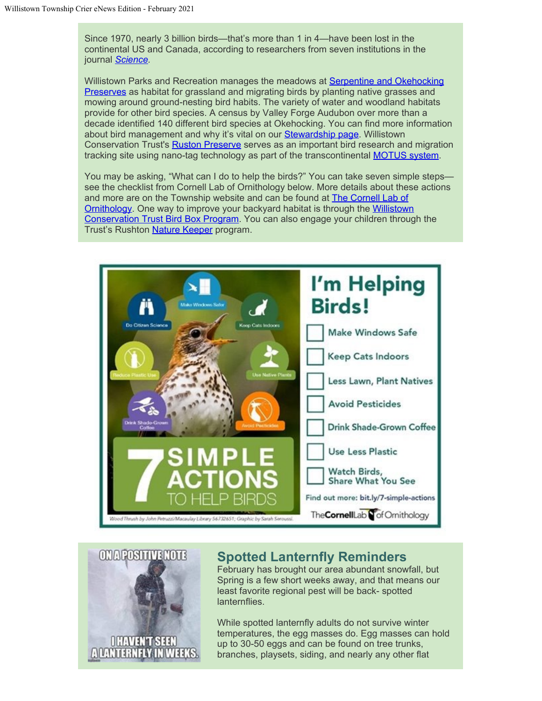Since 1970, nearly 3 billion birds—that's more than 1 in 4—have been lost in the continental US and Canada, according to researchers from seven institutions in the journal *[Science](https://www.sciencemag.org/news/2019/09/three-billion-north-american-birds-have-vanished-1970-surveys-show).*

Willistown Parks and Recreation manages the meadows at [Serpentine and Okehocking](https://www.willistown.pa.us/150/Visit-a-Park) **Preserves** as habitat for grassland and migrating birds by planting native grasses and mowing around ground-nesting bird habits. The variety of water and woodland habitats provide for other bird species. A census by Valley Forge Audubon over more than a decade identified 140 different bird species at Okehocking. You can find more information about bird management and why it's vital on our [Stewardship page](https://www.willistown.pa.us/147/Stewardship). Willistown Conservation Trust's [Ruston Preserve](https://wctrust.org/rushtonwoodspreserve/) serves as an important bird research and migration tracking site using nano-tag technology as part of the transcontinental **MOTUS** system.

You may be asking, "What can I do to help the birds?" You can take seven simple steps see the checklist from Cornell Lab of Ornithology below. More details about these actions and more are on the Township website and can be found at **The Cornell Lab of** [Ornithology](https://www.birds.cornell.edu/home/seven-simple-actions-to-help-birds/). One way to improve your backyard habitat is through the [Willistown](https://wctrust.org/bird-box-program/) [Conservation Trust Bird Box Program.](https://wctrust.org/bird-box-program/) You can also engage your children through the Trust's Rushton [Nature Keeper](https://wctrust.org/rushtonnaturekeepers/) program.





### **Spotted Lanternfly Reminders**

February has brought our area abundant snowfall, but Spring is a few short weeks away, and that means our least favorite regional pest will be back- spotted lanternflies.

While spotted lanternfly adults do not survive winter temperatures, the egg masses do. Egg masses can hold up to 30-50 eggs and can be found on tree trunks, branches, playsets, siding, and nearly any other flat